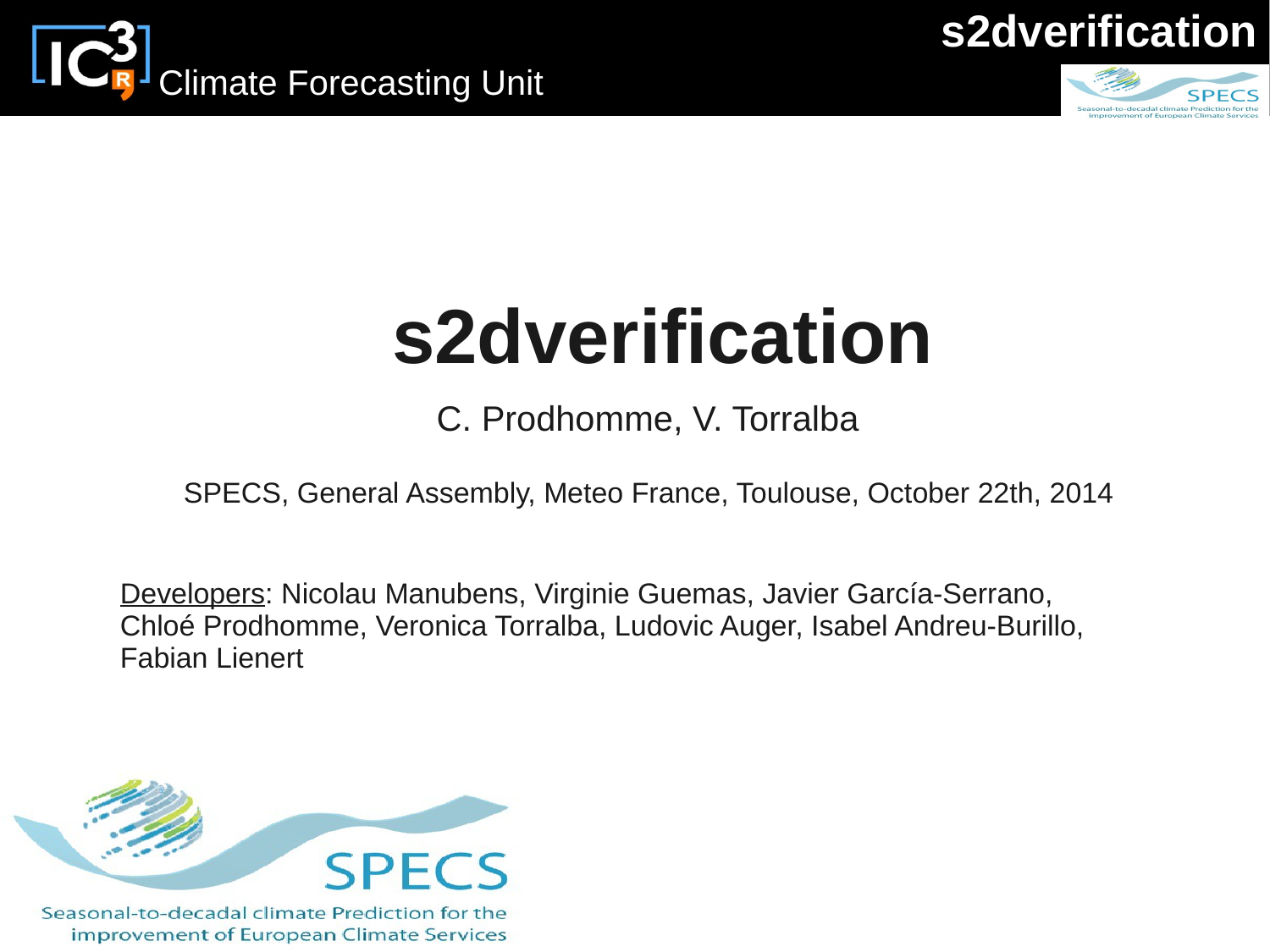





# **s2dverification**

C. Prodhomme, V. Torralba

SPECS, General Assembly, Meteo France, Toulouse, October 22th, 2014

Developers: Nicolau Manubens, Virginie Guemas, Javier García-Serrano, Chloé Prodhomme, Veronica Torralba, Ludovic Auger, Isabel Andreu-Burillo, Fabian Lienert



Seasonal-to-decadal climate Prediction for the improvement of European Climate Services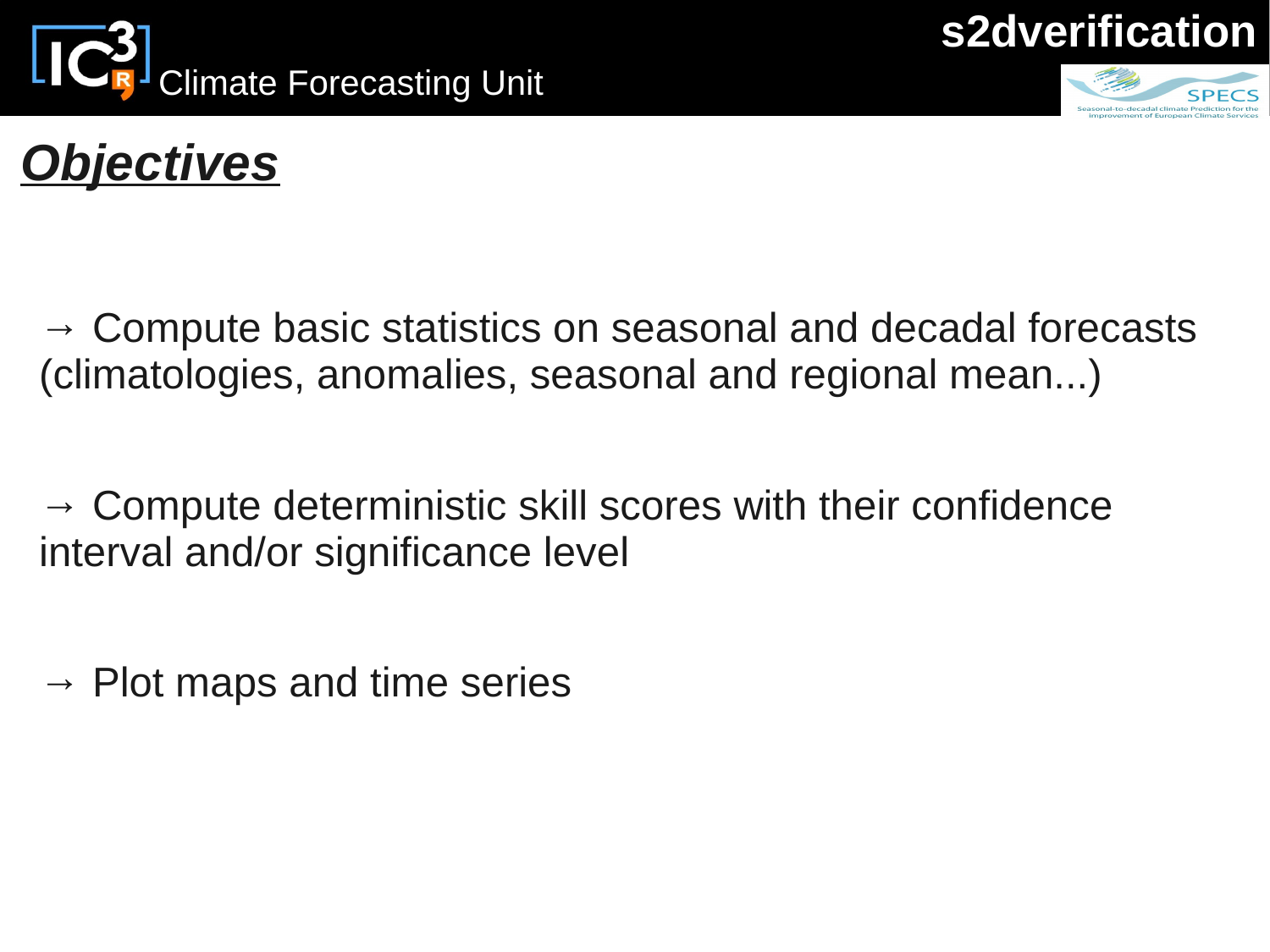





## *Objectives*

 $\rightarrow$  Compute basic statistics on seasonal and decadal forecasts (climatologies, anomalies, seasonal and regional mean...)

 $\rightarrow$  Compute deterministic skill scores with their confidence interval and/or significance level

 $\rightarrow$  Plot maps and time series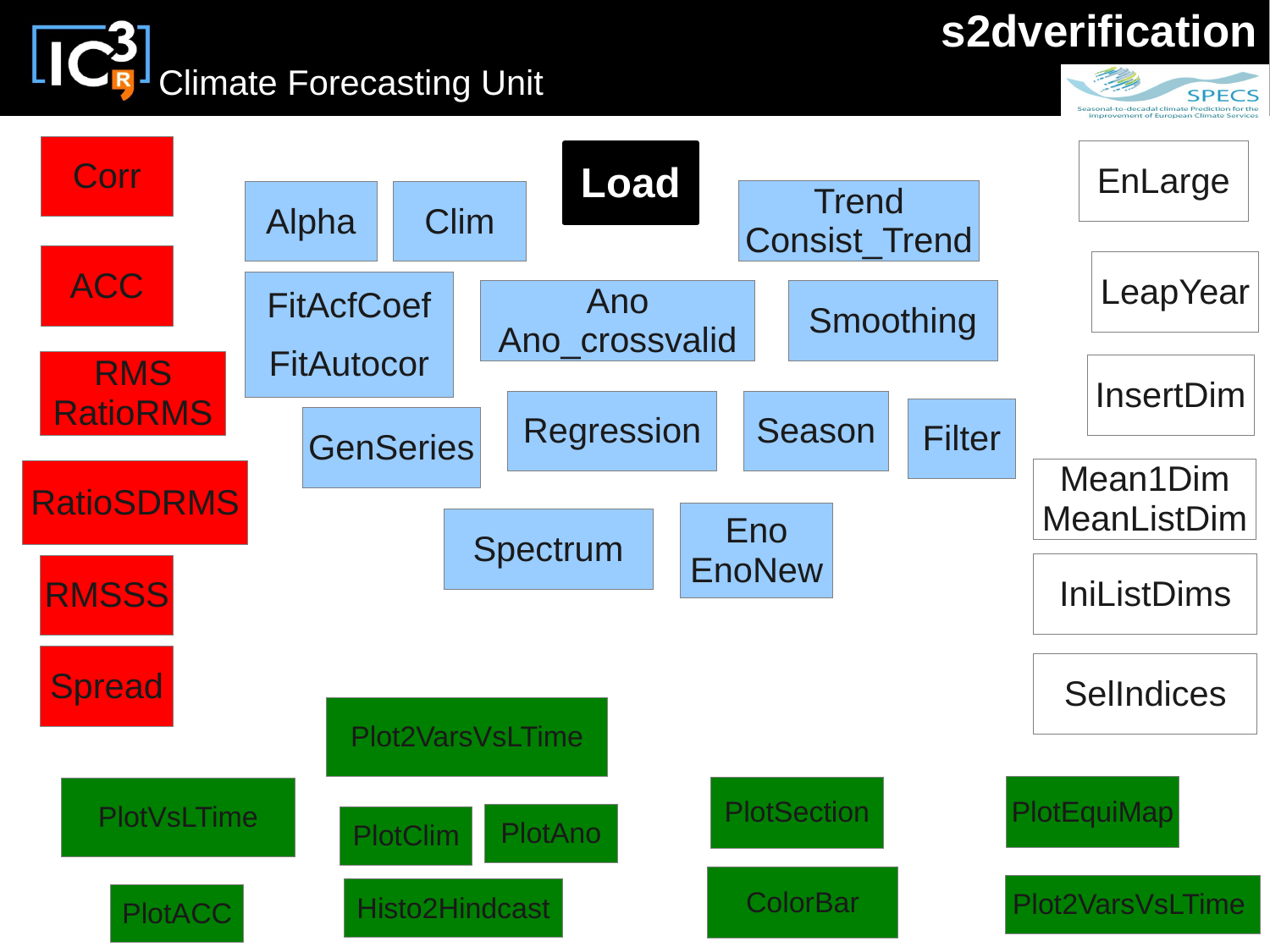**CON**<br>Climate Forecasting Unit

## **s2dverification**



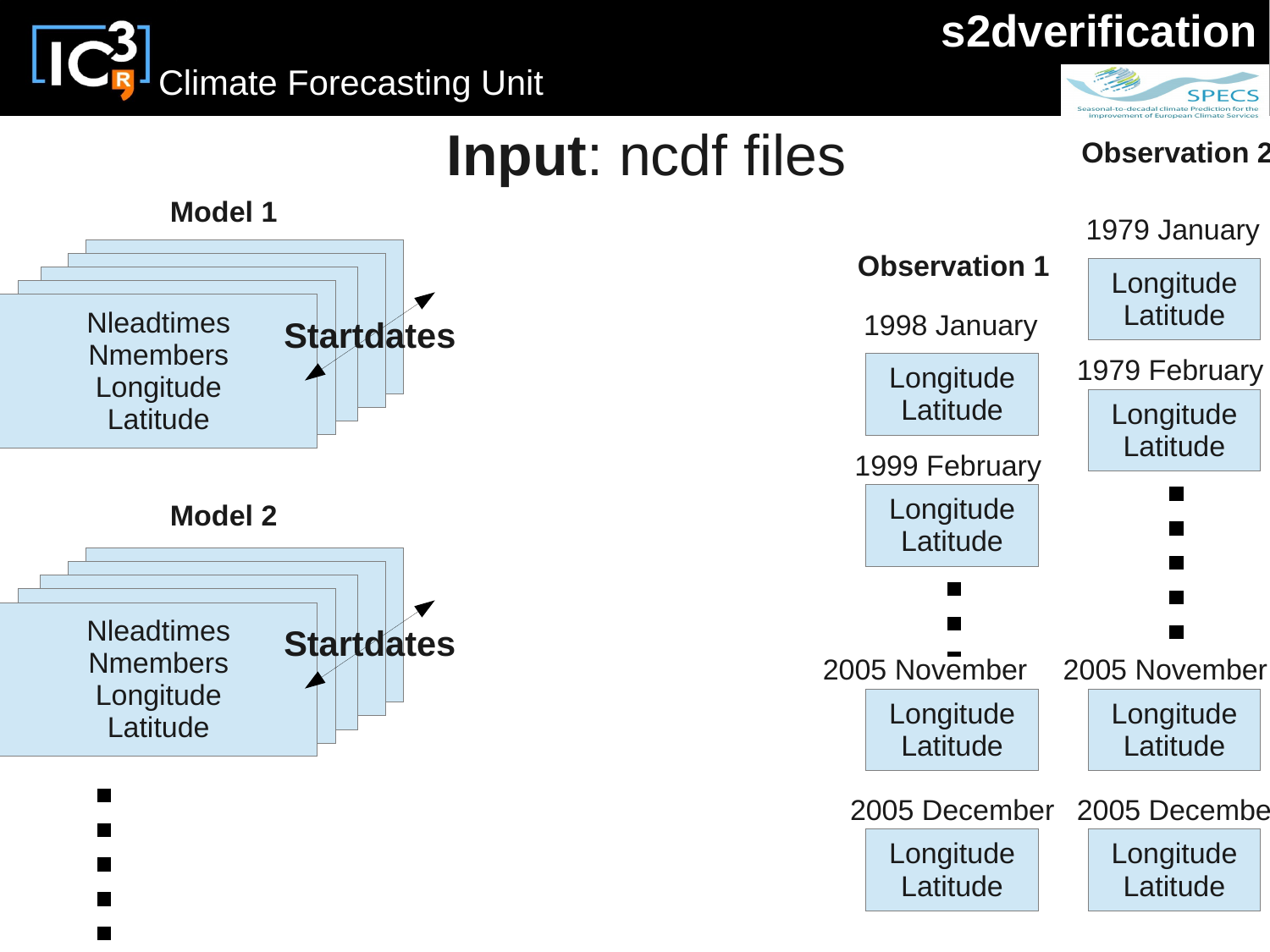

**CR** Climate Forecasting Unit



Latitude

Latitude

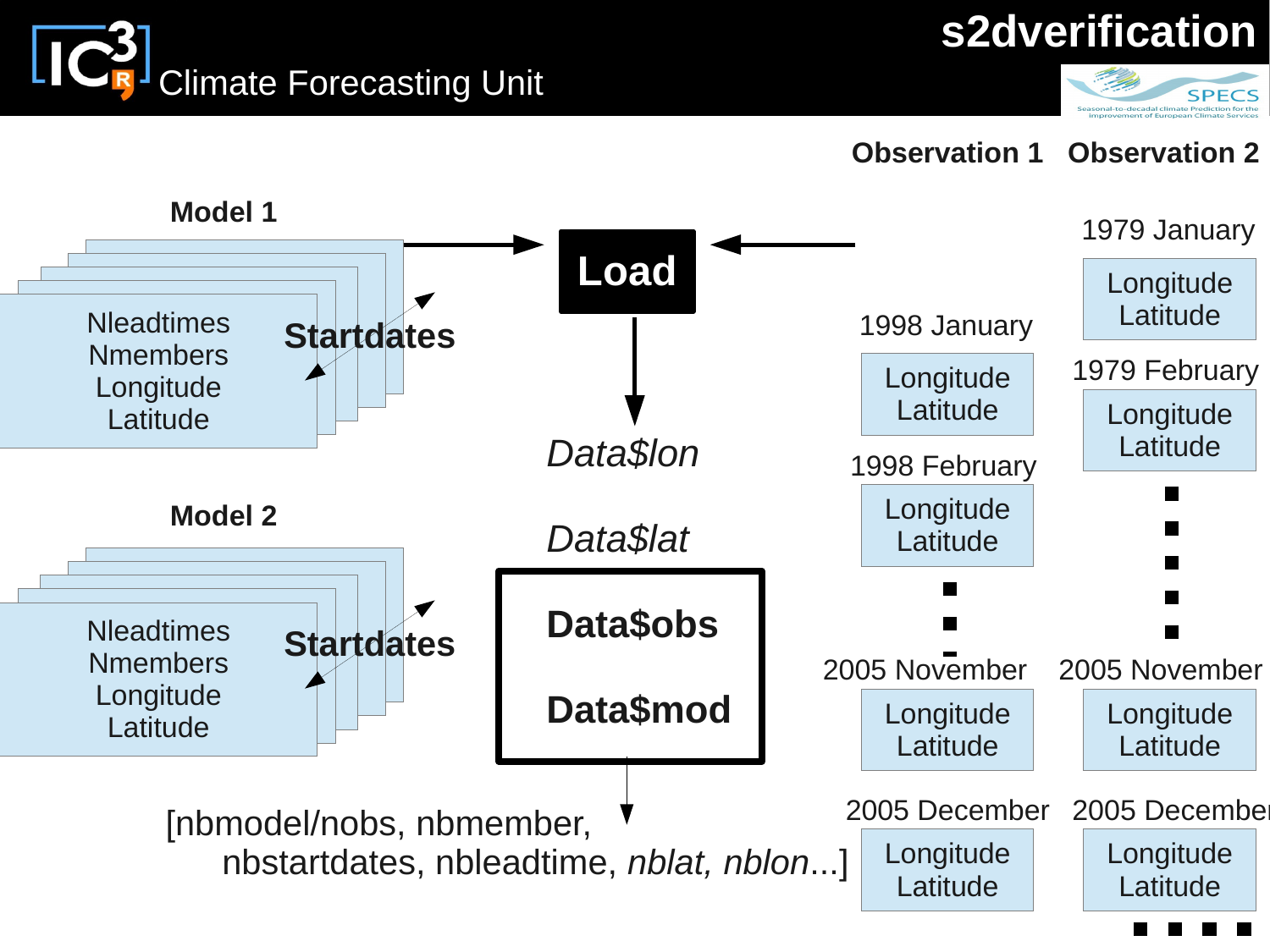**s2dverification**





#### **Observation 1 Observation 2**

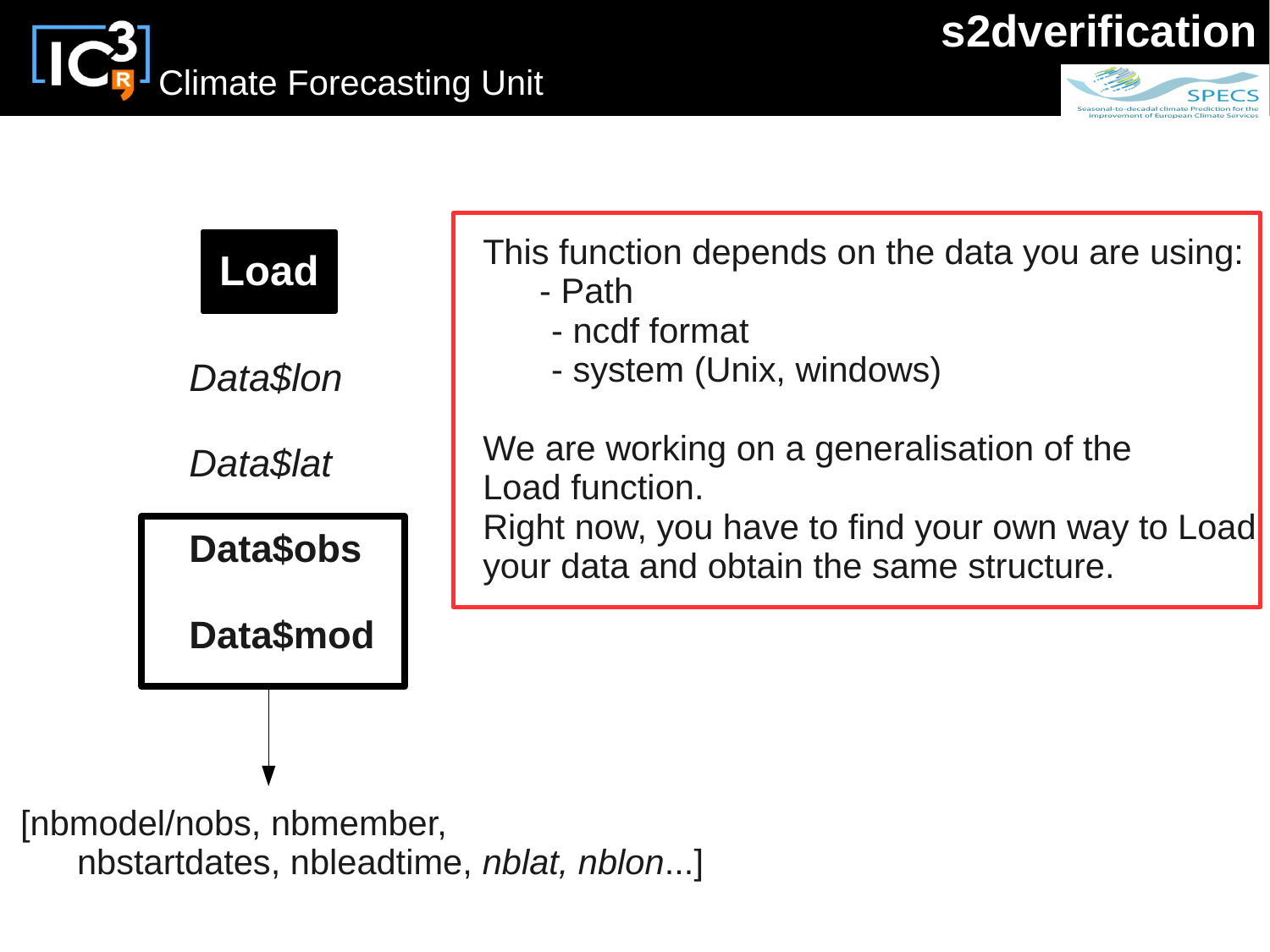

|                    | This function depends on the data you are using:                                             |
|--------------------|----------------------------------------------------------------------------------------------|
| <b>Load</b>        | - Path<br>- ncdf format                                                                      |
| Data\$lon          | - system (Unix, windows)                                                                     |
| Data\$lat          | We are working on a generalisation of the<br>Load function.                                  |
| <b>Data\$obs</b>   | Right now, you have to find your own way to Load<br>your data and obtain the same structure. |
| Data\$mod          |                                                                                              |
|                    |                                                                                              |
| odol/noho nhmomhor |                                                                                              |

[nbmodel/nobs, nbmember, nbstartdates, nbleadtime, *nblat, nblon*...]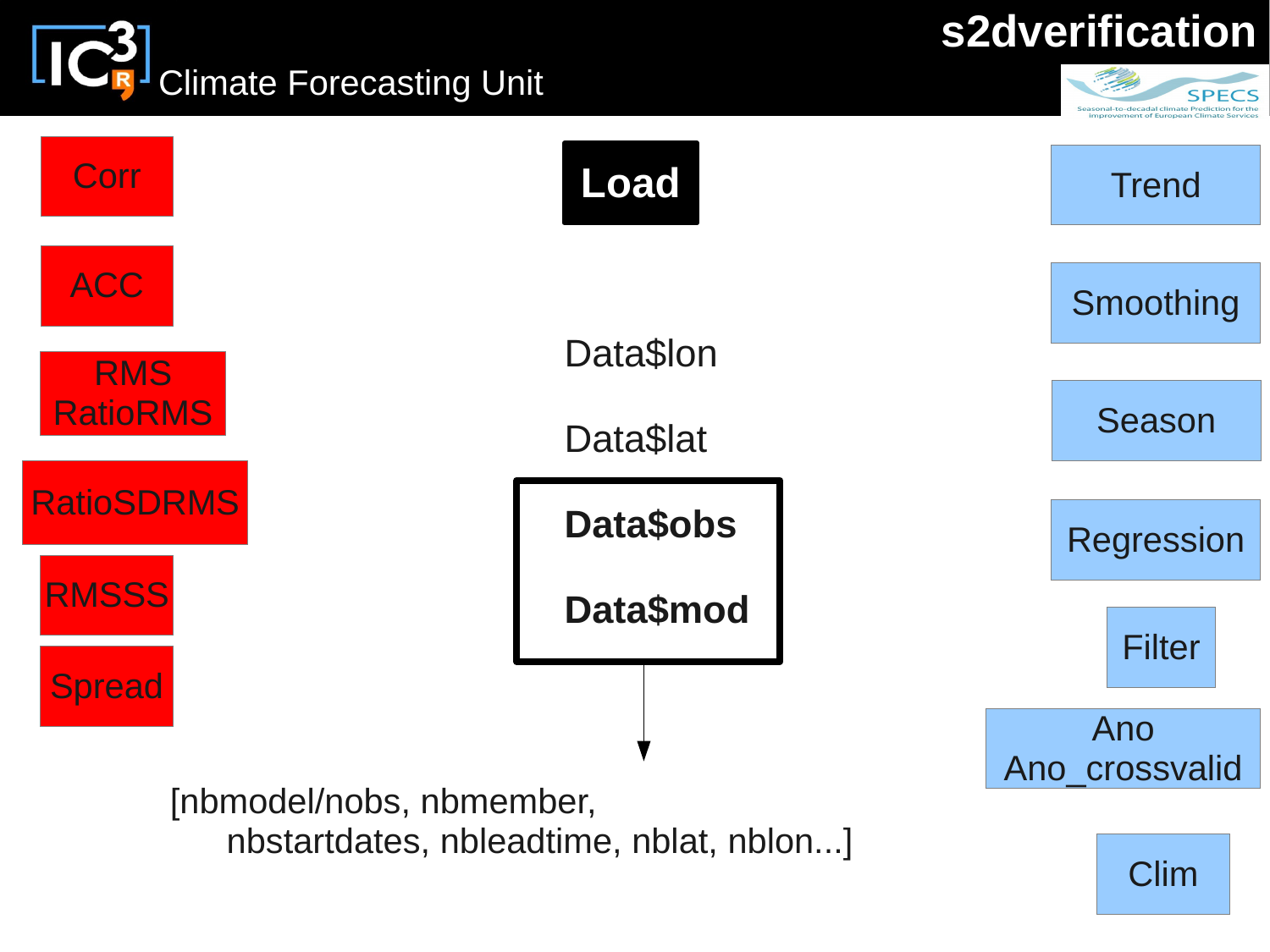LIC<sup>2</sup> Climate Forecasting Unit



**SPECS** 



nbstartdates, nbleadtime, nblat, nblon...]

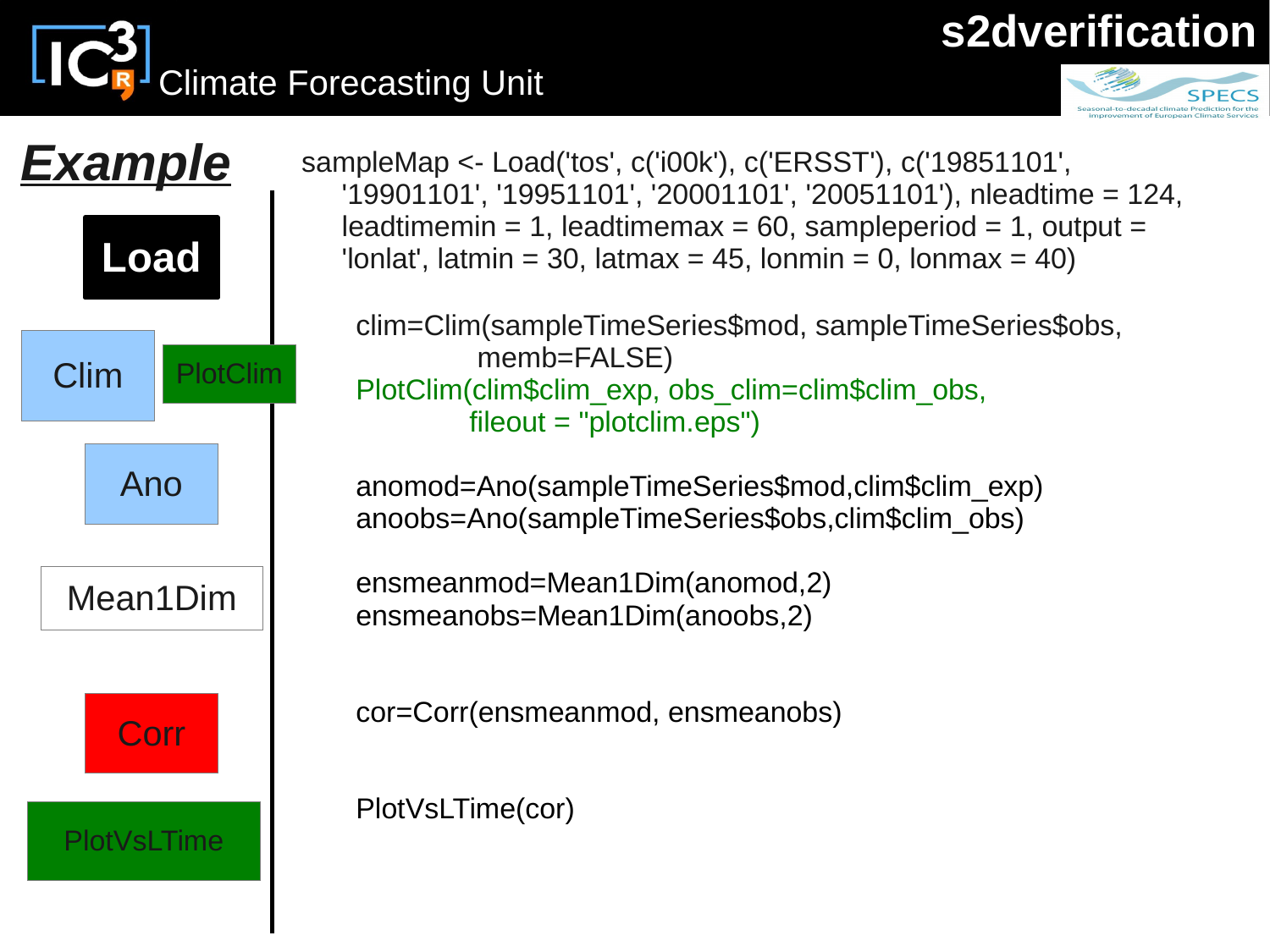# Climate Forecasting Unit



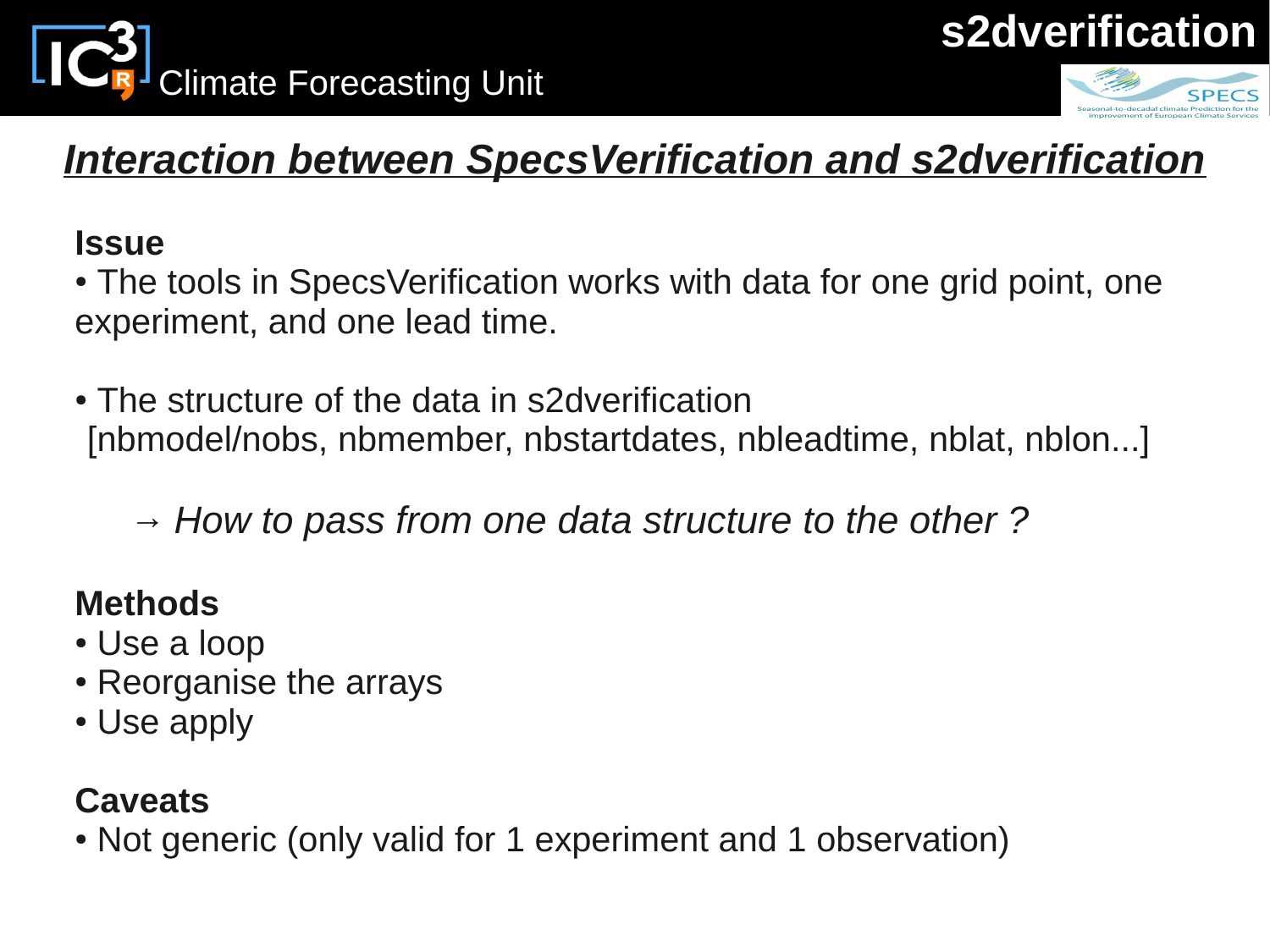





## *Interaction between SpecsVerification and s2dverification*

#### **Issue**

• The tools in SpecsVerification works with data for one grid point, one experiment, and one lead time.

• The structure of the data in s2dverification [nbmodel/nobs, nbmember, nbstartdates, nbleadtime, nblat, nblon...]

*→ How to pass from one data structure to the other ?*

### **Methods**

- Use a loop
- Reorganise the arrays
- Use apply

### **Caveats**

• Not generic (only valid for 1 experiment and 1 observation)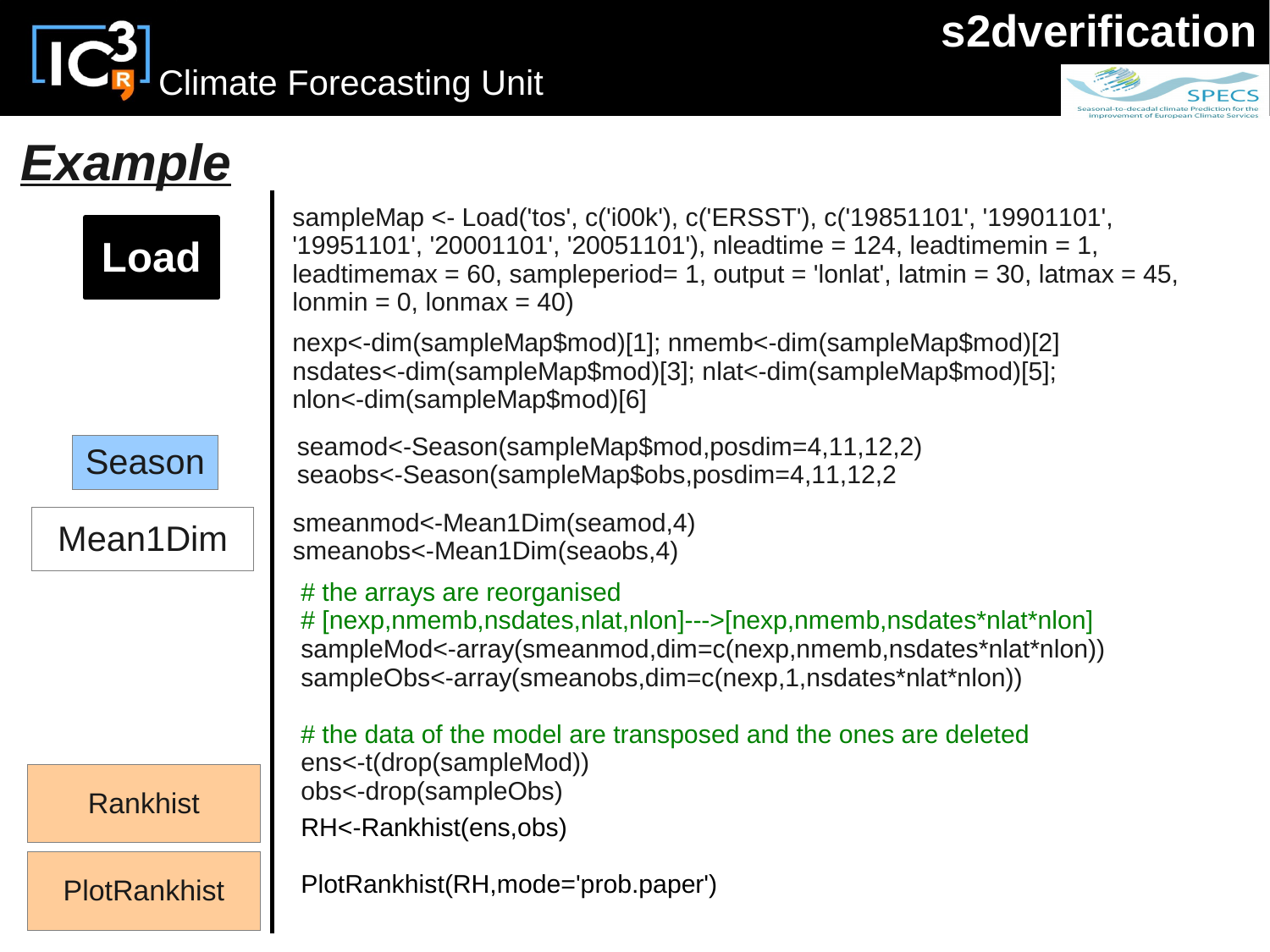IC<sup>3</sup> Climate Forecasting Unit

## **s2dverification**



## *Example*

| sampleMap <- Load('tos', c('i00k'), c('ERSST'), c('19851101', '19901101',<br>'19951101', '20001101', '20051101'), nleadtime = 124, leadtimemin = 1,<br>leadtimemax = 60, sampleperiod= 1, output = 'lonlat', latmin = 30, latmax = 45,<br>$lomin = 0$ , $lomin \times 40$ |
|---------------------------------------------------------------------------------------------------------------------------------------------------------------------------------------------------------------------------------------------------------------------------|
| nexp<-dim(sampleMap\$mod)[1];                                   nmemb<-dim(sampleMap\$mod)[2]<br>nsdates<-dim(sampleMap\$mod)[3]; nlat<-dim(sampleMap\$mod)[5];<br>nlon<-dim(sampleMap\$mod)[6]                                                                           |
| seamod<-Season(sampleMap\$mod,posdim=4,11,12,2)<br>seaobs<-Season(sampleMap\$obs,posdim=4,11,12,2                                                                                                                                                                         |
| smeanmod<-Mean1Dim(seamod,4)<br>smeanobs<-Mean1Dim(seaobs,4)                                                                                                                                                                                                              |
| # the arrays are reorganised<br># [nexp,nmemb,nsdates,nlat,nlon]--->[nexp,nmemb,nsdates*nlat*nlon]<br>sampleMod<-array(smeanmod,dim=c(nexp,nmemb,nsdates*nlat*nlon))<br>sampleObs<-array(smeanobs,dim=c(nexp,1,nsdates*nlat*nlon))                                        |
| # the data of the model are transposed and the ones are deleted<br>ens<-t(drop(sampleMod))                                                                                                                                                                                |
| obs<-drop(sampleObs)<br>RH<-Rankhist(ens,obs)                                                                                                                                                                                                                             |
| PlotRankhist(RH, mode='prob.paper')                                                                                                                                                                                                                                       |
|                                                                                                                                                                                                                                                                           |